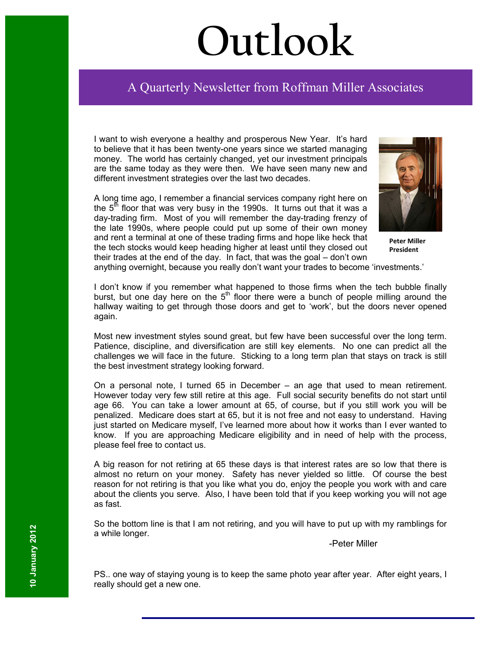# **Outlook**

## Ī A Quarterly Newsletter from Roffman Miller Associates

I want to wish everyone a healthy and prosperous New Year. It's hard to believe that it has been twenty-one years since we started managing money. The world has certainly changed, yet our investment principals are the same today as they were then. We have seen many new and different investment strategies over the last two decades.

A long time ago, I remember a financial services company right here on the  $5<sup>th</sup>$  floor that was very busy in the 1990s. It turns out that it was a day-trading firm. Most of you will remember the day-trading frenzy of the late 1990s, where people could put up some of their own money and rent a terminal at one of these trading firms and hope like heck that the tech stocks would keep heading higher at least until they closed out their trades at the end of the day. In fact, that was the goal – don't own



**Peter Miller President**

anything overnight, because you really don't want your trades to become 'investments.'

I don't know if you remember what happened to those firms when the tech bubble finally burst, but one day here on the  $5<sup>th</sup>$  floor there were a bunch of people milling around the hallway waiting to get through those doors and get to 'work', but the doors never opened again.

Most new investment styles sound great, but few have been successful over the long term. Patience, discipline, and diversification are still key elements. No one can predict all the challenges we will face in the future. Sticking to a long term plan that stays on track is still the best investment strategy looking forward.

On a personal note, I turned 65 in December – an age that used to mean retirement. However today very few still retire at this age. Full social security benefits do not start until age 66. You can take a lower amount at 65, of course, but if you still work you will be penalized. Medicare does start at 65, but it is not free and not easy to understand. Having just started on Medicare myself, I've learned more about how it works than I ever wanted to know. If you are approaching Medicare eligibility and in need of help with the process, please feel free to contact us.

A big reason for not retiring at 65 these days is that interest rates are so low that there is almost no return on your money. Safety has never yielded so little. Of course the best reason for not retiring is that you like what you do, enjoy the people you work with and care about the clients you serve. Also, I have been told that if you keep working you will not age as fast.

So the bottom line is that I am not retiring, and you will have to put up with my ramblings for a while longer.

-Peter Miller

PS.. one way of staying young is to keep the same photo year after year. After eight years, I really should get a new one.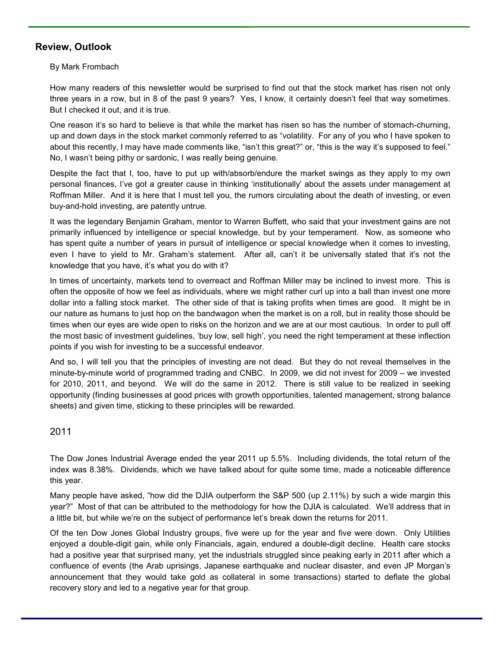### **Review, Outlook**

By Mark Frombach

How many readers of this newsletter would be surprised to find out that the stock market has risen not only three years in a row, but in 8 of the past 9 years? Yes, I know, it certainly doesn't feel that way sometimes. But I checked it out, and it is true.

One reason it's so hard to believe is that while the market has risen so has the number of stomach-churning, up and down days in the stock market commonly referred to as "volatility. For any of you who I have spoken to about this recently, I may have made comments like, "isn't this great?" or, "this is the way it's supposed to feel." No, I wasn't being pithy or sardonic, I was really being genuine.

Despite the fact that I, too, have to put up with/absorb/endure the market swings as they apply to my own personal finances, I've got a greater cause in thinking 'institutionally' about the assets under management at Roffman Miller. And it is here that I must tell you, the rumors circulating about the death of investing, or even buy-and-hold investing, are patently untrue.

It was the legendary Benjamin Graham, mentor to Warren Buffett, who said that your investment gains are not primarily influenced by intelligence or special knowledge, but by your temperament. Now, as someone who has spent quite a number of years in pursuit of intelligence or special knowledge when it comes to investing, even I have to yield to Mr. Graham's statement. After all, can't it be universally stated that it's not the knowledge that you have, it's what you do with it?

In times of uncertainty, markets tend to overreact and Roffman Miller may be inclined to invest more. This is often the opposite of how we feel as individuals, where we might rather curl up into a ball than invest one more dollar into a falling stock market. The other side of that is taking profits when times are good. It might be in our nature as humans to just hop on the bandwagon when the market is on a roll, but in reality those should be times when our eyes are wide open to risks on the horizon and we are at our most cautious. In order to pull off the most basic of investment guidelines, 'buy low, sell high', you need the right temperament at these inflection points if you wish for investing to be a successful endeavor.

And so, I will tell you that the principles of investing are not dead. But they do not reveal themselves in the minute-by-minute world of programmed trading and CNBC. In 2009, we did not invest for 2009 – we invested for 2010, 2011, and beyond. We will do the same in 2012. There is still value to be realized in seeking opportunity (finding businesses at good prices with growth opportunities, talented management, strong balance sheets) and given time, sticking to these principles will be rewarded.

#### 2011

The Dow Jones Industrial Average ended the year 2011 up 5.5%. Including dividends, the total return of the index was 8.38%. Dividends, which we have talked about for quite some time, made a noticeable difference this year.

Many people have asked, "how did the DJIA outperform the S&P 500 (up 2.11%) by such a wide margin this year?" Most of that can be attributed to the methodology for how the DJIA is calculated. We'll address that in a little bit, but while we're on the subject of performance let's break down the returns for 2011.

Of the ten Dow Jones Global Industry groups, five were up for the year and five were down. Only Utilities enjoyed a double-digit gain, while only Financials, again, endured a double-digit decline. Health care stocks had a positive year that surprised many, yet the industrials struggled since peaking early in 2011 after which a confluence of events (the Arab uprisings, Japanese earthquake and nuclear disaster, and even JP Morgan's announcement that they would take gold as collateral in some transactions) started to deflate the global recovery story and led to a negative year for that group.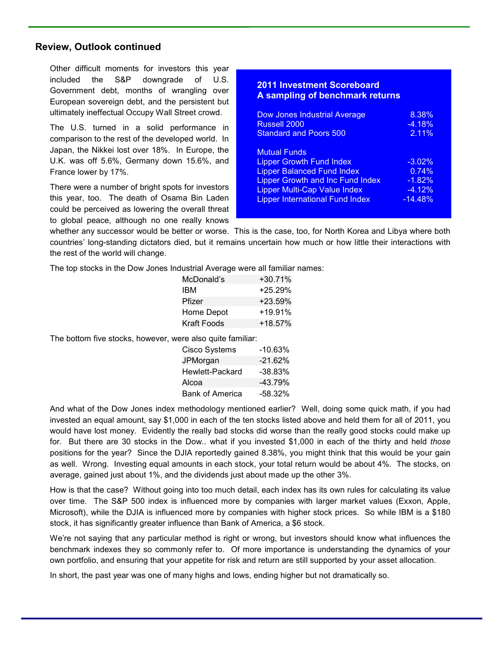#### **Review, Outlook continued**

Other difficult moments for investors this year included the S&P downgrade of U.S. Government debt, months of wrangling over European sovereign debt, and the persistent but ultimately ineffectual Occupy Wall Street crowd.

The U.S. turned in a solid performance in comparison to the rest of the developed world. In Japan, the Nikkei lost over 18%. In Europe, the U.K. was off 5.6%, Germany down 15.6%, and France lower by 17%.

There were a number of bright spots for investors this year, too. The death of Osama Bin Laden could be perceived as lowering the overall threat to global peace, although no one really knows

#### **2011 Investment Scoreboard A sampling of benchmark returns**

| <b>Dow Jones Industrial Average</b>                                                                                                                                                                                     | 8.38%                                                  |
|-------------------------------------------------------------------------------------------------------------------------------------------------------------------------------------------------------------------------|--------------------------------------------------------|
| <b>Russell 2000</b>                                                                                                                                                                                                     | $-4.18%$                                               |
| <b>Standard and Poors 500</b>                                                                                                                                                                                           | 2.11%                                                  |
| <b>Mutual Funds</b><br><b>Lipper Growth Fund Index</b><br><b>Lipper Balanced Fund Index</b><br><b>Lipper Growth and Inc Fund Index</b><br><b>Lipper Multi-Cap Value Index</b><br><b>Lipper International Fund Index</b> | $-3.02%$<br>0.74%<br>$-1.82%$<br>$-4.12%$<br>$-14.48%$ |

whether any successor would be better or worse. This is the case, too, for North Korea and Libya where both countries' long-standing dictators died, but it remains uncertain how much or how little their interactions with the rest of the world will change.

The top stocks in the Dow Jones Industrial Average were all familiar names:

| McDonald's  | $+30.71%$ |
|-------------|-----------|
| IBM         | $+25.29%$ |
| Pfizer      | $+23.59%$ |
| Home Depot  | $+19.91%$ |
| Kraft Foods | $+18.57%$ |

The bottom five stocks, however, were also quite familiar:

| <b>Cisco Systems</b>   | $-10.63%$  |
|------------------------|------------|
| JPMorgan               | $-21.62%$  |
| Hewlett-Packard        | $-38.83%$  |
| Alcoa                  | $-43.79%$  |
| <b>Bank of America</b> | $-58.32\%$ |

And what of the Dow Jones index methodology mentioned earlier? Well, doing some quick math, if you had invested an equal amount, say \$1,000 in each of the ten stocks listed above and held them for all of 2011, you would have lost money. Evidently the really bad stocks did worse than the really good stocks could make up for. But there are 30 stocks in the Dow.. what if you invested \$1,000 in each of the thirty and held *those* positions for the year? Since the DJIA reportedly gained 8.38%, you might think that this would be your gain as well. Wrong. Investing equal amounts in each stock, your total return would be about 4%. The stocks, on average, gained just about 1%, and the dividends just about made up the other 3%.

How is that the case? Without going into too much detail, each index has its own rules for calculating its value over time. The S&P 500 index is influenced more by companies with larger market values (Exxon, Apple, Microsoft), while the DJIA is influenced more by companies with higher stock prices. So while IBM is a \$180 stock, it has significantly greater influence than Bank of America, a \$6 stock.

We're not saying that any particular method is right or wrong, but investors should know what influences the benchmark indexes they so commonly refer to. Of more importance is understanding the dynamics of your own portfolio, and ensuring that your appetite for risk and return are still supported by your asset allocation.

In short, the past year was one of many highs and lows, ending higher but not dramatically so.